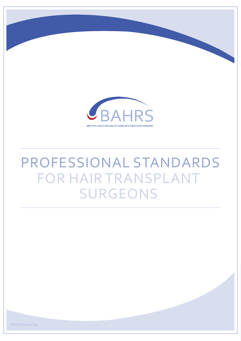

# PROFESSIONAL STANDARDS FOR HAIR TRANSPLANT SURGEONS

PSFHTS/V<sub>1</sub>/JULY<sub>13</sub>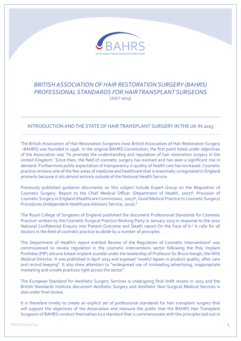

## *BRITISH ASSOCIATION OF HAIR RESTORATION SURGERY (BAHRS) PROFESSIONAL STANDARDS FOR HAIR TRANSPLANT SURGEONS*  $(IIIY 2012)$

## INTRODUCTION AND THE STATE OF HAIR TRANSPLANT SURGERY IN THE UK IN 2013

The British Association of Hair Restoration Surgeons (now British Association of Hair Restoration Surgery - BAHRS) was founded in 1996. In the original BAHRS Constitution, the first point listed under objectives of the Association was 'To promote the understanding and reputation of hair restoration surgery in the United Kingdom'. Since then, the field of cosmetic surgery has evolved and has seen a significant rise in demand. Furthermore public expectation of transparency in quality of health care has increased. Cosmetic practice remains one of the few areas of medicine and healthcare that is essentially unregulated in England primarily because it sits almost entirely outside of the National Health Service.

Previously published guidance documents on this subject include Expert Group on the Regulation of Cosmetic Surgery: Report to the Chief Medical Officer (Department of Health, 2007)<sup>1</sup>, Provision of Cosmetic Surgery in England (Healthcare Commission, 2007)², Good Medical Practice in Cosmetic Surgery/ Procedures (Independent Healthcare Advisory Service, 2010).<sup>3</sup>

The Royal College of Surgeons of England published the document Professional Standards for Cosmetic Practice<sup>4</sup> written by the Cosmetic Surgical Practice Working Party in January 2013 in response to the 2010 National Confidential Enquiry into Patient Outcome and Death report On the Face of It.<sup>5</sup> It calls for all doctors in the field of cosmetic practice to abide by a number of principles.

The Department of Health's report entitled Review of the Regulation of Cosmetic Interventions<sup>6</sup> was commissioned to review regulation in the cosmetic interventions sector following the Poly Implant Prothèse (PIP) silicone breast implant scandal under the leadership of Professor Sir Bruce Keogh, the NHS Medical Director. It was published in April 2013 and exposed "woeful lapses in product quality, after care and record keeping". It also drew attention to "widespread use of misleading advertising, inappropriate marketing and unsafe practices right across the sector".

The European Standard for Aesthetic Surgery Services is undergoing final draft review in 2013 and the British Standards Institute document Aesthetic Surgery and Aesthetic Non-Surgical Medical Services is also under final review.

It is therefore timely to create an explicit set of professional standards for hair transplant surgery that will support the objectives of the Association and reassure the public that the BAHRS Hair Transplant Surgeons of BAHRS conduct themselves to a standard that is commensurate with the principles laid out in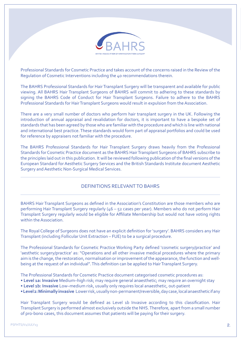

Professional Standards for Cosmetic Practice and takes account of the concerns raised in the Review of the Regulation of Cosmetic Interventions including the 40 recommendations therein.

The BAHRS Professional Standards for Hair Transplant Surgery will be transparent and available for public viewing. All BAHRS Hair Transplant Surgeons of BAHRS will commit to adhering to these standards by signing the BAHRS Code of Conduct for Hair Transplant Surgeons. Failure to adhere to the BAHRS Professional Standards for Hair Transplant Surgeons would result in expulsion from the Association.

There are a very small number of doctors who perform hair transplant surgery in the UK. Following the introduction of annual appraisal and revalidation for doctors, it is important to have a bespoke set of standards that has been agreed by those who are familiar with the procedure and which is line with national and international best practice. These standards would form part of appraisal portfolios and could be used for reference by appraisers not familiar with the procedure.

The BAHRS Professional Standards for Hair Transplant Surgery draws heavily from the Professional Standards for Cosmetic Practice document as the BAHRS Hair Transplant Surgeons of BAHRS subscribe to the principles laid out in this publication. It will be reviewed following publication of the final versions of the European Standard for Aesthetic Surgery Services and the British Standards Institute document Aesthetic Surgery and Aesthetic Non-Surgical Medical Services.

## DEFINITIONS RELEVANT TO BAHRS

BAHRS Hair Transplant Surgeons as defined in the Association's Constitution are those members who are performing Hair Transplant Surgery regularly (46 – 52 cases per year). Members who do not perform Hair Transplant Surgery regularly would be eligible for Affiliate Membership but would not have voting rights within the Association.

The Royal College of Surgeons does not have an explicit definition for 'surgery'. BAHRS considers any Hair Transplant (including Follicular Unit Extraction – FUE) to be a surgical procedure.

The Professional Standards for Cosmetic Practice Working Party defined 'cosmetic surgery/practice' and 'aesthetic surgery/practice' as: "Operations and all other invasive medical procedures where the primary aim is the change, the restoration, normalisation or improvement of the appearance, the function and wellbeing at the request of an individual". This definition can be applied to Hair Transplant Surgery.

The Professional Standards for Cosmetic Practice document categorised cosmetic procedures as:

- **Level 1a: Invasive** Medium–high risk; may require general anaesthetic; may require an overnight stay
- **Level 1b: Invasive** Low–medium risk, usually only requires local anaesthetic, out-patient
- **Level 2: Minimally invasive** Lower risk, usually non-permanent/reversible, day case, local anaesthetic if any

Hair Transplant Surgery would be defined as Level 1b Invasive according to this classification. Hair Transplant Surgery is performed almost exclusively outside the NHS. Therefore, apart from a small number of pro-bono cases, this document assumes that patients will be paying for their surgery.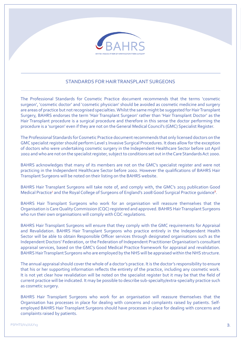

## STANDARDS FOR HAIR TRANSPLANT SURGEONS

The Professional Standards for Cosmetic Practice document recommends that the terms 'cosmetic surgeon', 'cosmetic doctor' and 'cosmetic physician' should be avoided as cosmetic medicine and surgery are areas of practice but not recognised specialties. Whilst the same might be suggested for Hair Transplant Surgery, BAHRS endorses the term 'Hair Transplant Surgeon' rather than 'Hair Transplant Doctor' as the Hair Transplant procedure is a surgical procedure and therefore in this sense the doctor performing the procedure is a 'surgeon' even if they are not on the General Medical Council's (GMC) Specialist Register.

The Professional Standards for Cosmetic Practice document recommends that only licensed doctors on the GMC specialist register should perform Level 1 Invasive Surgical Procedures. It does allow for the exception of doctors who were undertaking cosmetic surgery in the Independent Healthcare Sector before 1st April 2002 and who are not on the specialist register, subject to conditions set out in the Care Standards Act 2000.

BAHRS acknowledges that many of its members are not on the GMC's specialist register and were not practicing in the Independent Healthcare Sector before 2002. However the qualifications of BAHRS Hair Transplant Surgeons will be noted on their listing on the BAHRS website.

BAHRS Hair Transplant Surgeons will take note of, and comply with, the GMC's 2013 publication Good Medical Practice<sup>7</sup> and the Royal College of Surgeons of England's 2008 Good Surgical Practice guidance<sup>8</sup>.

BAHRS Hair Transplant Surgeons who work for an organisation will reassure themselves that the Organisation is Care Quality Commission (CQC) registered and approved. BAHRS Hair Transplant Surgeons who run their own organisations will comply with CQC regulations.

BAHRS Hair Transplant Surgeons will ensure that they comply with the GMC requirements for Appraisal and Revalidation. BAHRS Hair Transplant Surgeons who practice entirely in the Independent Health Sector will be able to obtain Responsible Officer services through designated organisations such as the Independent Doctors' Federation, or the Federation of Independent Practitioner Organisation's consultant appraisal services, based on the GMC's Good Medical Practice framework for appraisal and revalidation. BAHRS Hair Transplant Surgeons who are employed by the NHS will be appraised within the NHS structure.

The annual appraisal should cover the whole of a doctor's practice. It is the doctor's responsibility to ensure that his or her supporting information reflects the entirety of the practice, including any cosmetic work. It is not yet clear how revalidation will be noted on the specialist register but it may be that the field of current practice will be indicated. It may be possible to describe sub-specialty/extra-specialty practice such as cosmetic surgery.

BAHRS Hair Transplant Surgeons who work for an organisation will reassure themselves that the Organisation has processes in place for dealing with concerns and complaints raised by patients. Selfemployed BAHRS Hair Transplant Surgeons should have processes in place for dealing with concerns and complaints raised by patients.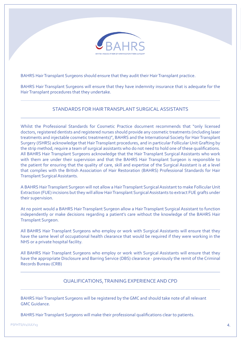

BAHRS Hair Transplant Surgeons should ensure that they audit their Hair Transplant practice.

BAHRS Hair Transplant Surgeons will ensure that they have indemnity insurance that is adequate for the Hair Transplant procedures that they undertake.

## STANDARDS FOR HAIR TRANSPLANT SURGICAL ASSISTANTS

Whilst the Professional Standards for Cosmetic Practice document recommends that "only licensed doctors, registered dentists and registered nurses should provide any cosmetic treatments (including laser treatments and injectable cosmetic treatments)", BAHRS and the International Society for Hair Transplant Surgery (ISHRS) acknowledge that Hair Transplant procedures, and in particular Follicular Unit Grafting by the strip method, require a team of surgical assistants who do not need to hold one of these qualifications. All BAHRS Hair Transplant Surgeons acknowledge that the Hair Transplant Surgical Assistants who work with them are under their supervision and that the BAHRS Hair Transplant Surgeon is responsible to the patient for ensuring that the quality of care, skill and expertise of the Surgical Assistant is at a level that complies with the British Association of Hair Restoration (BAHRS) Professional Standards for Hair Transplant Surgical Assistants.

A BAHRS Hair Transplant Surgeon will not allow a Hair Transplant Surgical Assistant to make Follicular Unit Extraction (FUE) incisions but they will allow Hair Transplant Surgical Assistants to extract FUE grafts under their supervision.

At no point would a BAHRS Hair Transplant Surgeon allow a Hair Transplant Surgical Assistant to function independently or make decisions regarding a patient's care without the knowledge of the BAHRS Hair Transplant Surgeon.

All BAHRS Hair Transplant Surgeons who employ or work with Surgical Assistants will ensure that they have the same level of occupational health clearance that would be required if they were working in the NHS or a private hospital facility.

All BAHRS Hair Transplant Surgeons who employ or work with Surgical Assistants will ensure that they have the appropriate Disclosure and Barring Service (DBS) clearance - previously the remit of the Criminal Records Bureau (CRB)

## QUALIFICATIONS, TRAINING EXPERIENCE AND CPD

BAHRS Hair Transplant Surgeons will be registered by the GMC and should take note of all relevant GMC Guidance.

BAHRS Hair Transplant Surgeons will make their professional qualifications clear to patients.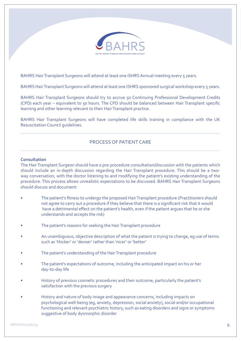

BAHRS Hair Transplant Surgeons will attend at least one ISHRS Annual meeting every 5 years.

BAHRS Hair Transplant Surgeons will attend at least one ISHRS sponsored surgical workshop every 5 years.

BAHRS Hair Transplant Surgeons should try to accrue 50 Continuing Professional Development Credits (CPD) each year – equivalent to 50 hours. The CPD should be balanced between Hair Transplant specific learning and other learning relevant to their Hair Transplant practice.

BAHRS Hair Transplant Surgeons will have completed life skills training in compliance with the UK Resuscitation Council guidelines.

## PROCESS OF PATIENT CARE

#### **Consultation**

The Hair Transplant Surgeon should have a pre-procedure consultation/discussion with the patients which should include an in-depth discussion regarding the Hair Transplant procedure. This should be a twoway conversation, with the doctor listening to and modifying the patient's existing understanding of the procedure. This process allows unrealistic expectations to be discussed. BAHRS Hair Transplant Surgeons should discuss and document:

- The patient's fitness to undergo the proposed Hair Transplant procedure (Practitioners should not agree to carry out a procedure if they believe that there is a significant risk that it would have a detrimental effect on the patient's health, even if the patient argues that he or she understands and accepts the risk)
- The patient's reasons for seeking the Hair Transplant procedure
- An unambiguous, objective description of what the patient is trying to change, eg use of terms such as 'thicker' or 'denser' rather than 'nicer' or 'better'
- The patient's understanding of the Hair Transplant procedure
- The patient's expectations of outcome, including the anticipated impact on his or her day-to-day life
- History of previous cosmetic procedures and their outcome, particularly the patient's satisfaction with the previous surgery
- History and nature of body image and appearance concerns, including impacts on psychological well-being (eg, anxiety, depression, social anxiety), social and/or occupational functioning and relevant psychiatric history, such as eating disorders and signs or symptoms suggestive of body dysmorphic disorder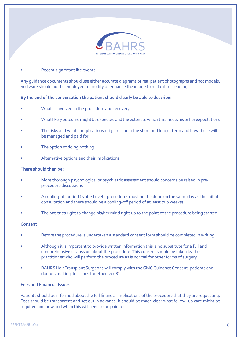

#### Recent significant life events.

Any guidance documents should use either accurate diagrams or real patient photographs and not models. Software should not be employed to modify or enhance the image to make it misleading.

#### **By the end of the conversation the patient should clearly be able to describe:**

- What is involved in the procedure and recovery
- What likely outcome might be expected and the extent to which this meets his or her expectations
- The risks and what complications might occur in the short and longer term and how these will be managed and paid for
- The option of doing nothing
- Alternative options and their implications.

#### **There should then be:**

- More thorough psychological or psychiatric assessment should concerns be raised in preprocedure discussions
- A cooling-off period (Note: Level 1 procedures must not be done on the same day as the initial consultation and there should be a cooling-off period of at least two weeks)
- The patient's right to change his/her mind right up to the point of the procedure being started.

#### **Consent**

- Before the procedure is undertaken a standard consent form should be completed in writing
- Although it is important to provide written information this is no substitute for a full and comprehensive discussion about the procedure. This consent should be taken by the practitioner who will perform the procedure as is normal for other forms of surgery
- BAHRS Hair Transplant Surgeons will comply with the GMC Guidance Consent: patients and doctors making decisions together, 2008<sup>9</sup> .

#### **Fees and Financial Issues**

Patients should be informed about the full financial implications of the procedure that they are requesting. Fees should be transparent and set out in advance. It should be made clear what follow- up care might be required and how and when this will need to be paid for.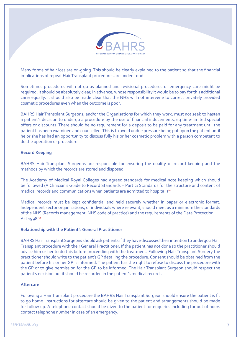

Many forms of hair loss are on-going. This should be clearly explained to the patient so that the financial implications of repeat Hair Transplant procedures are understood.

Sometimes procedures will not go as planned and revisional procedures or emergency care might be required. It should be absolutely clear, in advance, whose responsibility it would be to pay for this additional care; equally, it should also be made clear that the NHS will not intervene to correct privately provided cosmetic procedures even when the outcome is poor.

BAHRS Hair Transplant Surgeons, and/or the Organisations for which they work, must not seek to hasten a patient's decision to undergo a procedure by the use of financial inducements, eg time-limited special offers or discounts. There should be no requirement for a deposit to be paid for any treatment until the patient has been examined and counselled. This is to avoid undue pressure being put upon the patient until he or she has had an opportunity to discuss fully his or her cosmetic problem with a person competent to do the operation or procedure.

#### **Record Keeping**

BAHRS Hair Transplant Surgeons are responsible for ensuring the quality of record keeping and the methods by which the records are stored and disposed.

The Academy of Medical Royal Colleges had agreed standards for medical note keeping which should be followed (A Clinician's Guide to Record Standards – Part 2: Standards for the structure and content of medical records and communications when patients are admitted to hospital.)<sup>10</sup>

Medical records must be kept confidential and held securely whether in paper or electronic format. Independent sector organisations, or individuals where relevant, should meet as a minimum the standards of the NHS (Records management: NHS code of practice) and the requirements of the Data Protection Act 1998.<sup>11</sup>

#### **Relationship with the Patient's General Practitioner**

BAHRS Hair Transplant Surgeons should ask patients if they have discussed their intention to undergo a Hair Transplant procedure with their General Practitioner. If the patient has not done so the practitioner should advise him or her to do this before proceeding with the treatment. Following Hair Transplant Surgery the practitioner should write to the patient's GP detailing the procedure. Consent should be obtained from the patient before his or her GP is informed. The patient has the right to refuse to discuss the procedure with the GP or to give permission for the GP to be informed. The Hair Transplant Surgeon should respect the patient's decision but it should be recorded in the patient's medical records.

#### **Aftercare**

Following a Hair Transplant procedure the BAHRS Hair Transplant Surgeon should ensure the patient is fit to go home. Instructions for aftercare should be given to the patient and arrangements should be made for follow up. A telephone contact should be given to the patient for enquiries including for out of hours contact telephone number in case of an emergency.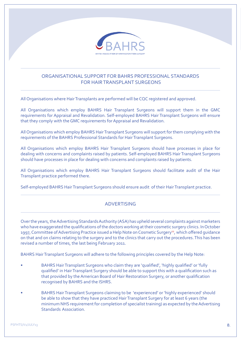

## ORGANISATIONAL SUPPORT FOR BAHRS PROFESSIONAL STANDARDS FOR HAIR TRANSPLANT SURGEONS

All Organisations where Hair Transplants are performed will be CQC registered and approved.

All Organisations which employ BAHRS Hair Transplant Surgeons will support them in the GMC requirements for Appraisal and Revalidation. Self-employed BAHRS Hair Transplant Surgeons will ensure that they comply with the GMC requirements for Appraisal and Revalidation.

All Organisations which employ BAHRS Hair Transplant Surgeons will support for them complying with the requirements of the BAHRS Professional Standards for Hair Transplant Surgeons.

All Organisations which employ BAHRS Hair Transplant Surgeons should have processes in place for dealing with concerns and complaints raised by patients. Self-employed BAHRS Hair Transplant Surgeons should have processes in place for dealing with concerns and complaints raised by patients.

All Organisations which employ BAHRS Hair Transplant Surgeons should facilitate audit of the Hair Transplant practice performed there.

Self-employed BAHRS Hair Transplant Surgeons should ensure audit of their Hair Transplant practice.

## ADVERTISING

Over the years, the Advertising Standards Authority (ASA) has upheld several complaints against marketers who have exaggerated the qualifications of the doctors working at their cosmetic surgery clinics. In October 1997, Committee of Advertising Practice issued a Help Note on Cosmetic Surgery<sup>12</sup>, which offered guidance on that and on claims relating to the surgery and to the clinics that carry out the procedures. This has been revised a number of times, the last being February 2011.

BAHRS Hair Transplant Surgeons will adhere to the following principles covered by the Help Note:

- BAHRS Hair Transplant Surgeons who claim they are 'qualified', 'highly qualified' or 'fully qualified' in Hair Transplant Surgery should be able to support this with a qualification such as that provided by the American Board of Hair Restoration Surgery, or another qualification recognised by BAHRS and the ISHRS.
- BAHRS Hair Transplant Surgeons claiming to be 'experienced' or 'highly experienced' should be able to show that they have practiced Hair Transplant Surgery for at least 6 years (the minimum NHS requirement for completion of specialist training) as expected by the Advertising Standards Association.